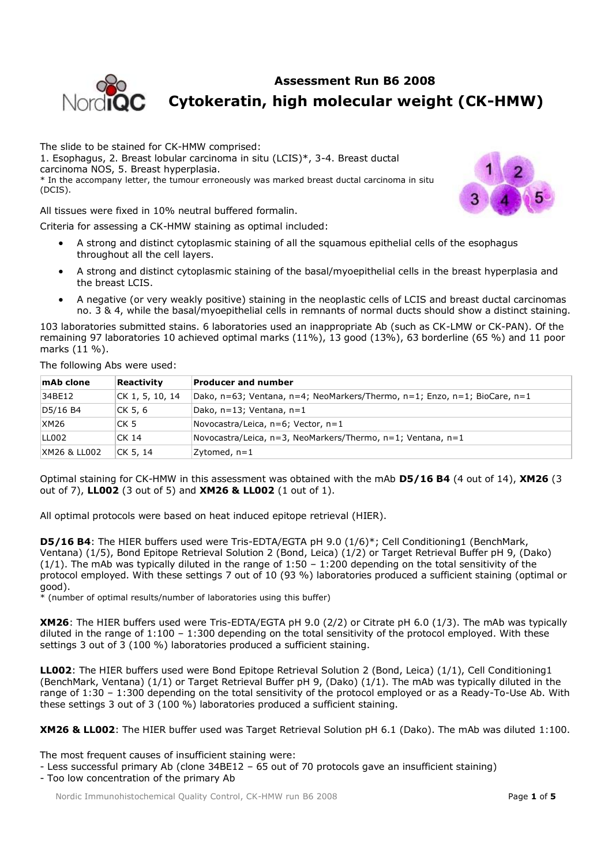

# **Assessment Run B6 2008 Cytokeratin, high molecular weight (CK-HMW)**

The slide to be stained for CK-HMW comprised: 1. Esophagus, 2. Breast lobular carcinoma in situ (LCIS)\*, 3-4. Breast ductal carcinoma NOS, 5. Breast hyperplasia. \* In the accompany letter, the tumour erroneously was marked breast ductal carcinoma in situ (DCIS).

All tissues were fixed in 10% neutral buffered formalin.

Criteria for assessing a CK-HMW staining as optimal included:

- A strong and distinct cytoplasmic staining of all the squamous epithelial cells of the esophagus throughout all the cell layers.
- A strong and distinct cytoplasmic staining of the basal/myoepithelial cells in the breast hyperplasia and the breast LCIS.
- A negative (or very weakly positive) staining in the neoplastic cells of LCIS and breast ductal carcinomas no. 3 & 4, while the basal/myoepithelial cells in remnants of normal ducts should show a distinct staining.

103 laboratories submitted stains. 6 laboratories used an inappropriate Ab (such as CK-LMW or CK-PAN). Of the remaining 97 laboratories 10 achieved optimal marks (11%), 13 good (13%), 63 borderline (65 %) and 11 poor marks (11 %).

The following Abs were used:

| mAb clone               | Reactivity      | <b>Producer and number</b>                                                |
|-------------------------|-----------------|---------------------------------------------------------------------------|
| 34BE12                  | CK 1, 5, 10, 14 | Dako, n=63; Ventana, n=4; NeoMarkers/Thermo, n=1; Enzo, n=1; BioCare, n=1 |
| D5/16 B4                | ICK 5, 6        | Dako, n=13; Ventana, n=1                                                  |
| <b>XM26</b>             | CK 5            | Novocastra/Leica, n=6; Vector, n=1                                        |
| LL002                   | CK 14           | Novocastra/Leica, n=3, NeoMarkers/Thermo, n=1; Ventana, n=1               |
| <b>XM26 &amp; LL002</b> | CK 5, 14        | Zytomed, $n=1$                                                            |

Optimal staining for CK-HMW in this assessment was obtained with the mAb **D5/16 B4** (4 out of 14), **XM26** (3 out of 7), **LL002** (3 out of 5) and **XM26 & LL002** (1 out of 1).

All optimal protocols were based on heat induced epitope retrieval (HIER).

**D5/16 B4**: The HIER buffers used were Tris-EDTA/EGTA pH 9.0 (1/6)\*; Cell Conditioning1 (BenchMark, Ventana) (1/5), Bond Epitope Retrieval Solution 2 (Bond, Leica) (1/2) or Target Retrieval Buffer pH 9, (Dako)  $(1/1)$ . The mAb was typically diluted in the range of 1:50 - 1:200 depending on the total sensitivity of the protocol employed. With these settings 7 out of 10 (93 %) laboratories produced a sufficient staining (optimal or good).

 $\frac{1}{2}$  (number of optimal results/number of laboratories using this buffer)

**XM26**: The HIER buffers used were Tris-EDTA/EGTA pH 9.0 (2/2) or Citrate pH 6.0 (1/3). The mAb was typically diluted in the range of 1:100 – 1:300 depending on the total sensitivity of the protocol employed. With these settings 3 out of 3 (100 %) laboratories produced a sufficient staining.

**LL002**: The HIER buffers used were Bond Epitope Retrieval Solution 2 (Bond, Leica) (1/1), Cell Conditioning1 (BenchMark, Ventana) (1/1) or Target Retrieval Buffer pH 9, (Dako) (1/1). The mAb was typically diluted in the range of 1:30 – 1:300 depending on the total sensitivity of the protocol employed or as a Ready-To-Use Ab. With these settings 3 out of 3 (100 %) laboratories produced a sufficient staining.

**XM26 & LL002**: The HIER buffer used was Target Retrieval Solution pH 6.1 (Dako). The mAb was diluted 1:100.

The most frequent causes of insufficient staining were:

- Less successful primary Ab (clone 34BE12 – 65 out of 70 protocols gave an insufficient staining)

- Too low concentration of the primary Ab

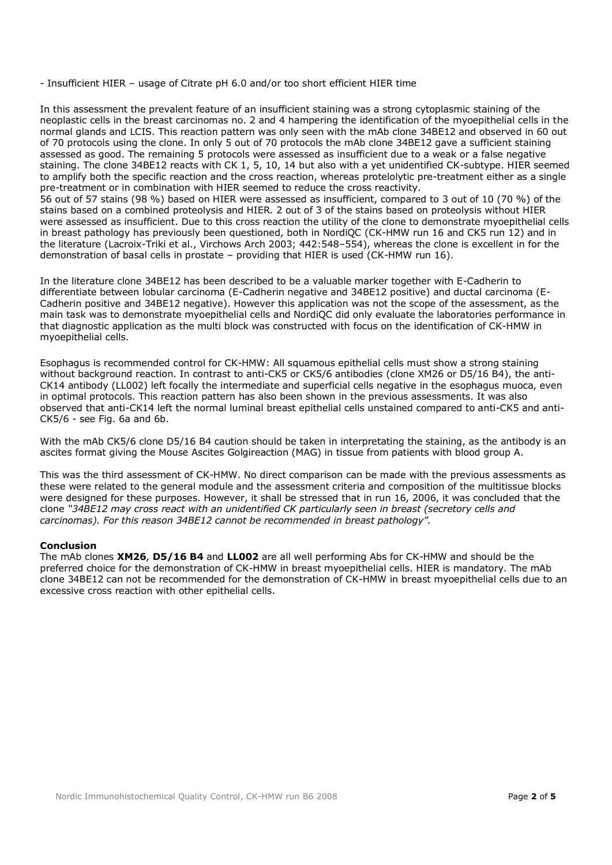- Insufficient HIER – usage of Citrate pH 6.0 and/or too short efficient HIER time

In this assessment the prevalent feature of an insufficient staining was a strong cytoplasmic staining of the neoplastic cells in the breast carcinomas no. 2 and 4 hampering the identification of the myoepithelial cells in the normal glands and LCIS. This reaction pattern was only seen with the mAb clone 34BE12 and observed in 60 out of 70 protocols using the clone. In only 5 out of 70 protocols the mAb clone 34BE12 gave a sufficient staining assessed as good. The remaining 5 protocols were assessed as insufficient due to a weak or a false negative staining. The clone 34BE12 reacts with CK 1, 5, 10, 14 but also with a yet unidentified CK-subtype. HIER seemed to amplify both the specific reaction and the cross reaction, whereas protelolytic pre-treatment either as a single pre-treatment or in combination with HIER seemed to reduce the cross reactivity.

56 out of 57 stains (98 %) based on HIER were assessed as insufficient, compared to 3 out of 10 (70 %) of the stains based on a combined proteolysis and HIER. 2 out of 3 of the stains based on proteolysis without HIER were assessed as insufficient. Due to this cross reaction the utility of the clone to demonstrate myoepithelial cells in breast pathology has previously been questioned, both in NordiQC (CK-HMW run 16 and CK5 run 12) and in the literature (Lacroix-Triki et al., Virchows Arch 2003; 442:548–554), whereas the clone is excellent in for the demonstration of basal cells in prostate – providing that HIER is used (CK-HMW run 16).

In the literature clone 34BE12 has been described to be a valuable marker together with E-Cadherin to differentiate between lobular carcinoma (E-Cadherin negative and 34BE12 positive) and ductal carcinoma (E-Cadherin positive and 34BE12 negative). However this application was not the scope of the assessment, as the main task was to demonstrate myoepithelial cells and NordiQC did only evaluate the laboratories performance in that diagnostic application as the multi block was constructed with focus on the identification of CK-HMW in myoepithelial cells.

Esophagus is recommended control for CK-HMW: All squamous epithelial cells must show a strong staining without background reaction. In contrast to anti-CK5 or CK5/6 antibodies (clone XM26 or D5/16 B4), the anti-CK14 antibody (LL002) left focally the intermediate and superficial cells negative in the esophagus muoca, even in optimal protocols. This reaction pattern has also been shown in the previous assessments. It was also observed that anti-CK14 left the normal luminal breast epithelial cells unstained compared to anti-CK5 and anti-CK5/6 - see Fig. 6a and 6b.

With the mAb CK5/6 clone D5/16 B4 caution should be taken in interpretating the staining, as the antibody is an ascites format giving the Mouse Ascites Golgireaction (MAG) in tissue from patients with blood group A.

This was the third assessment of CK-HMW. No direct comparison can be made with the previous assessments as these were related to the general module and the assessment criteria and composition of the multitissue blocks were designed for these purposes. However, it shall be stressed that in run 16, 2006, it was concluded that the clone *"34BE12 may cross react with an unidentified CK particularly seen in breast (secretory cells and carcinomas). For this reason 34BE12 cannot be recommended in breast pathology".*

## **Conclusion**

The mAb clones **XM26**, **D5/16 B4** and **LL002** are all well performing Abs for CK-HMW and should be the preferred choice for the demonstration of CK-HMW in breast myoepithelial cells. HIER is mandatory. The mAb clone 34BE12 can not be recommended for the demonstration of CK-HMW in breast myoepithelial cells due to an excessive cross reaction with other epithelial cells.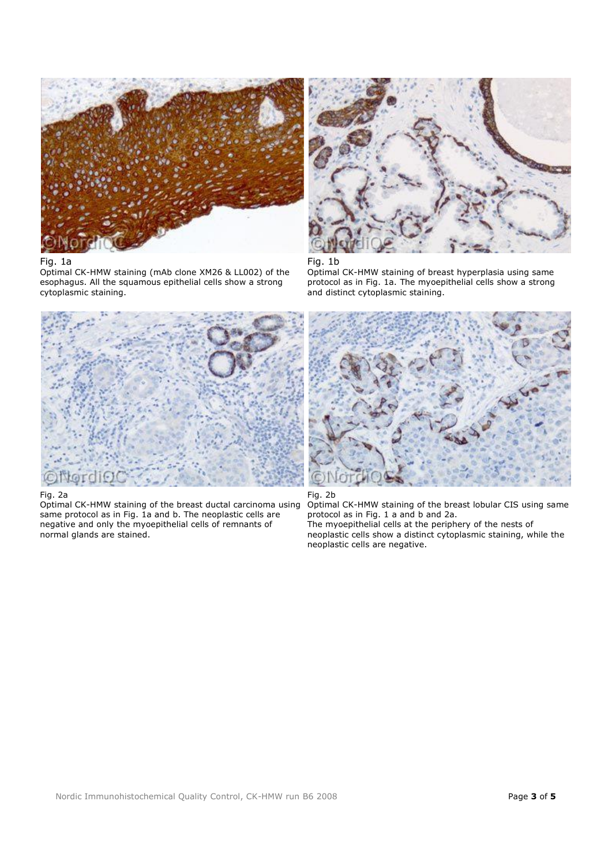

## Fig. 1a

Optimal CK-HMW staining (mAb clone XM26 & LL002) of the esophagus. All the squamous epithelial cells show a strong cytoplasmic staining.



## Fig. 1b

Optimal CK-HMW staining of breast hyperplasia using same protocol as in Fig. 1a. The myoepithelial cells show a strong and distinct cytoplasmic staining.



## Fig. 2a

Optimal CK-HMW staining of the breast ductal carcinoma using same protocol as in Fig. 1a and b. The neoplastic cells are negative and only the myoepithelial cells of remnants of normal glands are stained.



## Fig. 2b

Optimal CK-HMW staining of the breast lobular CIS using same protocol as in Fig. 1 a and b and 2a. The myoepithelial cells at the periphery of the nests of neoplastic cells show a distinct cytoplasmic staining, while the neoplastic cells are negative.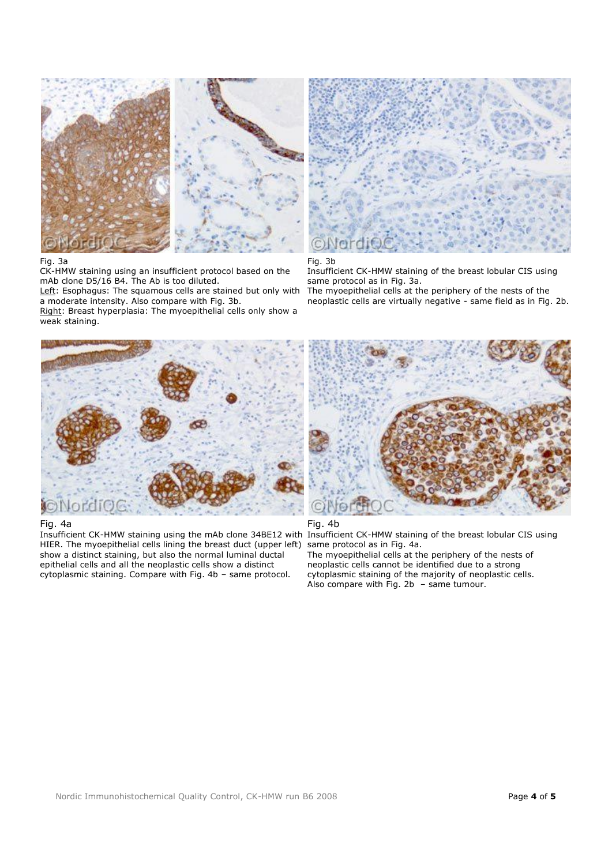

## Fig. 3a

CK-HMW staining using an insufficient protocol based on the mAb clone D5/16 B4. The Ab is too diluted.

Left: Esophagus: The squamous cells are stained but only with a moderate intensity. Also compare with Fig. 3b.

Right: Breast hyperplasia: The myoepithelial cells only show a weak staining.



## Fig. 3b

Insufficient CK-HMW staining of the breast lobular CIS using same protocol as in Fig. 3a.

The myoepithelial cells at the periphery of the nests of the neoplastic cells are virtually negative - same field as in Fig. 2b.



## Fig. 4a

Insufficient CK-HMW staining using the mAb clone 34BE12 with Insufficient CK-HMW staining of the breast lobular CIS using HIER. The myoepithelial cells lining the breast duct (upper left) same protocol as in Fig. 4a. show a distinct staining, but also the normal luminal ductal epithelial cells and all the neoplastic cells show a distinct cytoplasmic staining. Compare with Fig. 4b – same protocol.



## Fig. 4b

The myoepithelial cells at the periphery of the nests of neoplastic cells cannot be identified due to a strong cytoplasmic staining of the majority of neoplastic cells. Also compare with Fig. 2b – same tumour.